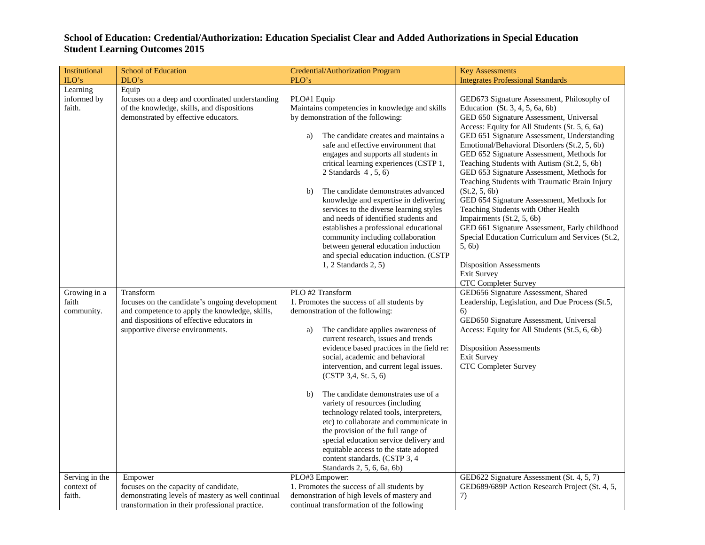## **School of Education: Credential/Authorization: Education Specialist Clear and Added Authorizations in Special Education Student Learning Outcomes 2015**

| Institutional                          | <b>School of Education</b>                                                                                                                                                                      | Credential/Authorization Program                                                                                                                                                                                                                                                                                                                                                                                                                                                                                                                                                                                                                                                                      | <b>Key Assessments</b>                                                                                                                                                                                                                                                                                                                                                                                                                                                                                                                                                                                                                                                                                                                                                                                        |
|----------------------------------------|-------------------------------------------------------------------------------------------------------------------------------------------------------------------------------------------------|-------------------------------------------------------------------------------------------------------------------------------------------------------------------------------------------------------------------------------------------------------------------------------------------------------------------------------------------------------------------------------------------------------------------------------------------------------------------------------------------------------------------------------------------------------------------------------------------------------------------------------------------------------------------------------------------------------|---------------------------------------------------------------------------------------------------------------------------------------------------------------------------------------------------------------------------------------------------------------------------------------------------------------------------------------------------------------------------------------------------------------------------------------------------------------------------------------------------------------------------------------------------------------------------------------------------------------------------------------------------------------------------------------------------------------------------------------------------------------------------------------------------------------|
| ILO's                                  | DLO's                                                                                                                                                                                           | PLO's                                                                                                                                                                                                                                                                                                                                                                                                                                                                                                                                                                                                                                                                                                 | <b>Integrates Professional Standards</b>                                                                                                                                                                                                                                                                                                                                                                                                                                                                                                                                                                                                                                                                                                                                                                      |
| Learning<br>informed by<br>faith.      | Equip<br>focuses on a deep and coordinated understanding<br>of the knowledge, skills, and dispositions<br>demonstrated by effective educators.                                                  | PLO#1 Equip<br>Maintains competencies in knowledge and skills<br>by demonstration of the following:<br>The candidate creates and maintains a<br>a)<br>safe and effective environment that<br>engages and supports all students in<br>critical learning experiences (CSTP 1,<br>2 Standards $4, 5, 6$<br>The candidate demonstrates advanced<br>b)<br>knowledge and expertise in delivering<br>services to the diverse learning styles<br>and needs of identified students and<br>establishes a professional educational<br>community including collaboration<br>between general education induction<br>and special education induction. (CSTP<br>$1, 2$ Standards $2, 5$ )                            | GED673 Signature Assessment, Philosophy of<br>Education $(St. 3, 4, 5, 6a, 6b)$<br>GED 650 Signature Assessment, Universal<br>Access: Equity for All Students (St. 5, 6, 6a)<br>GED 651 Signature Assessment, Understanding<br>Emotional/Behavioral Disorders (St.2, 5, 6b)<br>GED 652 Signature Assessment, Methods for<br>Teaching Students with Autism (St.2, 5, 6b)<br>GED 653 Signature Assessment, Methods for<br>Teaching Students with Traumatic Brain Injury<br>(St.2, 5, 6b)<br>GED 654 Signature Assessment, Methods for<br>Teaching Students with Other Health<br>Impairments (St.2, 5, 6b)<br>GED 661 Signature Assessment, Early childhood<br>Special Education Curriculum and Services (St.2,<br>5, 6b)<br><b>Disposition Assessments</b><br><b>Exit Survey</b><br><b>CTC Completer Survey</b> |
| Growing in a<br>faith<br>community.    | Transform<br>focuses on the candidate's ongoing development<br>and competence to apply the knowledge, skills,<br>and dispositions of effective educators in<br>supportive diverse environments. | PLO #2 Transform<br>1. Promotes the success of all students by<br>demonstration of the following:<br>The candidate applies awareness of<br>a)<br>current research, issues and trends<br>evidence based practices in the field re:<br>social, academic and behavioral<br>intervention, and current legal issues.<br>(CSTP 3, 4, St. 5, 6)<br>The candidate demonstrates use of a<br>b)<br>variety of resources (including<br>technology related tools, interpreters,<br>etc) to collaborate and communicate in<br>the provision of the full range of<br>special education service delivery and<br>equitable access to the state adopted<br>content standards. (CSTP 3, 4<br>Standards 2, 5, 6, 6a, 6b) | GED656 Signature Assessment, Shared<br>Leadership, Legislation, and Due Process (St.5,<br>6)<br>GED650 Signature Assessment, Universal<br>Access: Equity for All Students (St.5, 6, 6b)<br><b>Disposition Assessments</b><br><b>Exit Survey</b><br><b>CTC Completer Survey</b>                                                                                                                                                                                                                                                                                                                                                                                                                                                                                                                                |
| Serving in the<br>context of<br>faith. | Empower<br>focuses on the capacity of candidate,<br>demonstrating levels of mastery as well continual<br>transformation in their professional practice.                                         | PLO#3 Empower:<br>1. Promotes the success of all students by<br>demonstration of high levels of mastery and<br>continual transformation of the following                                                                                                                                                                                                                                                                                                                                                                                                                                                                                                                                              | GED622 Signature Assessment (St. 4, 5, 7)<br>GED689/689P Action Research Project (St. 4, 5,<br>7)                                                                                                                                                                                                                                                                                                                                                                                                                                                                                                                                                                                                                                                                                                             |